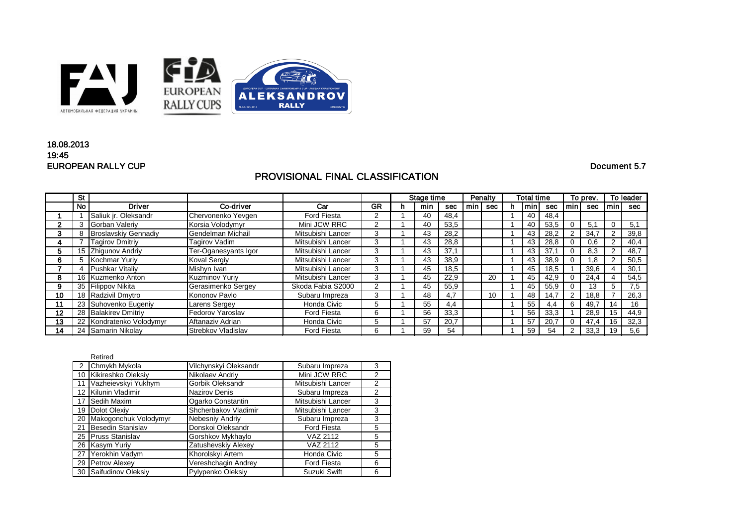

## EUROPEAN RALLY CUP Document 5.7 18.08.2013 19:45

# PROVISIONAL FINAL CLASSIFICATION

|    | <b>St</b> |                             |                       |                    |           | Stage time |     | Penalty |     | <b>Total time</b> |  | To prev. |      | To leader |      |              |      |
|----|-----------|-----------------------------|-----------------------|--------------------|-----------|------------|-----|---------|-----|-------------------|--|----------|------|-----------|------|--------------|------|
|    | <b>No</b> | <b>Driver</b>               | Co-driver             | Car                | <b>GR</b> | n.         | min | sec     | min | sec               |  | min      | sec  | l min     | sec  | min          | sec  |
|    |           | Saliuk jr. Oleksandr        | Chervonenko Yevgen    | <b>Ford Fiesta</b> |           |            | 40  | 48,4    |     |                   |  | 40       | 48,4 |           |      |              |      |
|    | 3         | Gorban Valeriy              | Korsia Volodymyr      | Mini JCW RRC       |           |            | 40  | 53,5    |     |                   |  | 40       | 53,5 | $\Omega$  | 5.1  | $\mathbf{0}$ | 5,1  |
|    | 8         | <b>Broslavskiy Gennadiy</b> | Gendelman Michail     | Mitsubishi Lancer  |           |            | 43  | 28,2    |     |                   |  | 43       | 28,2 | 2         | 34,7 | 2            | 39,8 |
|    |           | Tagirov Dmitriy             | Tagirov Vadim         | Mitsubishi Lancer  |           |            | 43  | 28,8    |     |                   |  | 43       | 28,8 |           | 0,6  |              | 40,4 |
| b. |           | 15 Zhigunov Andriy          | Ter-Oganesyants Igor  | Mitsubishi Lancer  | 3         |            | 43  | 37,1    |     |                   |  | 43       | 37,1 | $\Omega$  | 8,3  | 2            | 48,7 |
| 6. | 5.        | Kochmar Yuriy               | <b>Koval Sergiy</b>   | Mitsubishi Lancer  |           |            | 43  | 38,9    |     |                   |  | 43       | 38,9 |           | 1.8  | 2            | 50,5 |
|    |           | Pushkar Vitaliy             | Mishyn Ivan           | Mitsubishi Lancer  |           |            | 45  | 18,5    |     |                   |  | 45       | 18,5 |           | 39,6 |              | 30,1 |
| 8. |           | 16 Kuzmenko Anton           | <b>Kuzminov Yuriy</b> | Mitsubishi Lancer  |           |            | 45  | 22,9    |     | 20                |  | 45       | 42,9 | 0         | 24,4 |              | 54,5 |
|    |           | 35 Filippov Nikita          | Gerasimenko Sergey    | Skoda Fabia S2000  |           |            | 45  | 55,9    |     |                   |  | 45       | 55,9 |           | 13   | 5            | 7,5  |
| 10 |           | 18 Radzivil Dmytro          | Kononov Pavlo         | Subaru Impreza     | 3         |            | 48  | 4,7     |     | 10                |  | 48       | 14,7 | 2         | 18,8 |              | 26,3 |
|    |           | 23 Suhovenko Eugeniy        | Larens Sergey         | Honda Civic        | h.        |            | 55  | 4,4     |     |                   |  | 55       | 4.4  | 6         | 49,7 | 14           | 16   |
| 12 |           | 28 Balakirev Dmitriy        | Fedorov Yaroslav      | <b>Ford Fiesta</b> | 6         |            | 56  | 33,3    |     |                   |  | 56       | 33.3 |           | 28,9 | 15           | 44,9 |
| 13 |           | 22 Kondratenko Volodymyr    | Aftanaziv Adrian      | Honda Civic        | h.        |            | 57  | 20,7    |     |                   |  | 57       | 20,7 | $\Omega$  | 47,4 | 16           | 32,3 |
| 14 |           | 24 Samarin Nikolay          | Strebkov Vladislav    | <b>Ford Fiesta</b> | 6.        |            | 59  | 54      |     |                   |  | 59       | 54   | 2         | 33,3 | 19           | 5,6  |

|    | Retired                  |                        |                    |                |
|----|--------------------------|------------------------|--------------------|----------------|
| 2  | Chmykh Mykola            | Vilchynskyi Oleksandr  | Subaru Impreza     | 3              |
| 10 | Kikireshko Oleksiy       | Nikolaev Andriy        | Mini JCW RRC       | $\overline{2}$ |
| 11 | Vazheievskyi Yukhym      | Gorbik Oleksandr       | Mitsubishi Lancer  | $\overline{2}$ |
| 12 | Kilunin Vladimir         | <b>Nazirov Denis</b>   | Subaru Impreza     | $\overline{2}$ |
| 17 | Sedih Maxim              | Ogarko Constantin      | Mitsubishi Lancer  | 3              |
| 19 | Dolot Olexiy             | Shcherbakov Vladimir   | Mitsubishi Lancer  | 3              |
| 20 | Makogonchuk Volodymyr    | <b>Nebesniy Andriy</b> | Subaru Impreza     | 3              |
| 21 | <b>Besedin Stanislav</b> | Donskoi Oleksandr      | <b>Ford Fiesta</b> | 5              |
|    | 25 Pruss Stanislav       | Gorshkov Mykhaylo      | VAZ 2112           | 5              |
|    | 26 Kasym Yuriy           | Zatushevskiy Alexey    | VAZ 2112           | 5              |
| 27 | Yerokhin Vadym           | Khorolskyi Artem       | Honda Civic        | 5              |
|    | 29 Petrov Alexey         | Vereshchagin Andrey    | <b>Ford Fiesta</b> | 6              |
|    | 30 Saifudinov Oleksiy    | Pylypenko Oleksiy      | Suzuki Swift       | 6              |